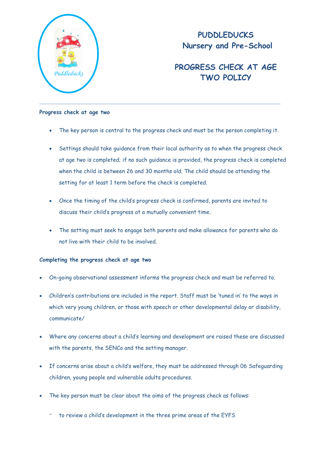

## **PUDDLEDUCKS Nursery and Pre-School**

## **PROGRESS CHECK AT AGE TWO POLICY** *Puddleducks*

## **Progress check at age two**

- The key person is central to the progress check and must be the person completing it.
- Settings should take guidance from their local authority as to when the progress check at age two is completed; if no such guidance is provided, the progress check is completed when the child is between 26 and 30 months old. The child should be attending the setting for at least 1 term before the check is completed.
- Once the timing of the child's progress check is confirmed, parents are invited to discuss their child's progress at a mutually convenient time.
- The setting must seek to engage both parents and make allowance for parents who do not live with their child to be involved.

## **Completing the progress check at age two**

- On-going observational assessment informs the progress check and must be referred to.
- Children's contributions are included in the report. Staff must be 'tuned in' to the ways in which very young children, or those with speech or other developmental delay or disability, communicate/
- Where any concerns about a child's learning and development are raised these are discussed with the parents, the SENCo and the setting manager.
- If concerns arise about a child's welfare, they must be addressed through 06 Safeguarding children, young people and vulnerable adults procedures.
- The key person must be clear about the aims of the progress check as follows:
	- to review a child's development in the three prime areas of the EYFS